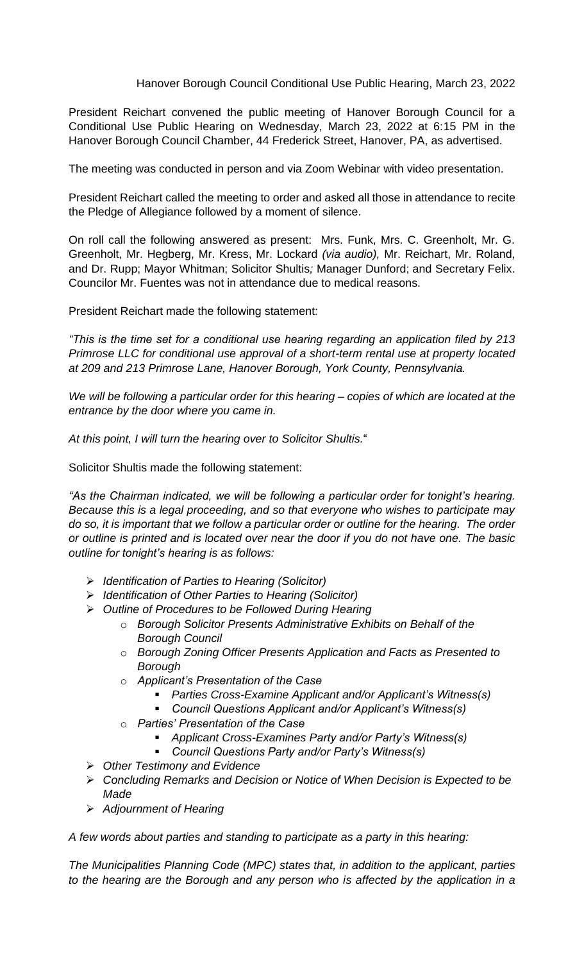## Hanover Borough Council Conditional Use Public Hearing, March 23, 2022

President Reichart convened the public meeting of Hanover Borough Council for a Conditional Use Public Hearing on Wednesday, March 23, 2022 at 6:15 PM in the Hanover Borough Council Chamber, 44 Frederick Street, Hanover, PA, as advertised.

The meeting was conducted in person and via Zoom Webinar with video presentation.

President Reichart called the meeting to order and asked all those in attendance to recite the Pledge of Allegiance followed by a moment of silence.

On roll call the following answered as present: Mrs. Funk, Mrs. C. Greenholt, Mr. G. Greenholt, Mr. Hegberg, Mr. Kress, Mr. Lockard *(via audio),* Mr. Reichart, Mr. Roland, and Dr. Rupp; Mayor Whitman; Solicitor Shultis*;* Manager Dunford; and Secretary Felix. Councilor Mr. Fuentes was not in attendance due to medical reasons.

President Reichart made the following statement:

*"This is the time set for a conditional use hearing regarding an application filed by 213 Primrose LLC for conditional use approval of a short-term rental use at property located at 209 and 213 Primrose Lane, Hanover Borough, York County, Pennsylvania.*

*We will be following a particular order for this hearing – copies of which are located at the entrance by the door where you came in.*

*At this point, I will turn the hearing over to Solicitor Shultis.*"

Solicitor Shultis made the following statement:

*"As the Chairman indicated, we will be following a particular order for tonight's hearing. Because this is a legal proceeding, and so that everyone who wishes to participate may do so, it is important that we follow a particular order or outline for the hearing. The order or outline is printed and is located over near the door if you do not have one. The basic outline for tonight's hearing is as follows:*

- ➢ *Identification of Parties to Hearing (Solicitor)*
- ➢ *Identification of Other Parties to Hearing (Solicitor)*
- ➢ *Outline of Procedures to be Followed During Hearing*
	- o *Borough Solicitor Presents Administrative Exhibits on Behalf of the Borough Council*
		- o *Borough Zoning Officer Presents Application and Facts as Presented to Borough*
		- o *Applicant's Presentation of the Case*
			- *Parties Cross-Examine Applicant and/or Applicant's Witness(s)*
			- *Council Questions Applicant and/or Applicant's Witness(s)*
	- o *Parties' Presentation of the Case*
		- *Applicant Cross-Examines Party and/or Party's Witness(s)*
		- *Council Questions Party and/or Party's Witness(s)*
- ➢ *Other Testimony and Evidence*
- ➢ *Concluding Remarks and Decision or Notice of When Decision is Expected to be Made*
- ➢ *Adjournment of Hearing*

*A few words about parties and standing to participate as a party in this hearing:* 

*The Municipalities Planning Code (MPC) states that, in addition to the applicant, parties to the hearing are the Borough and any person who is affected by the application in a*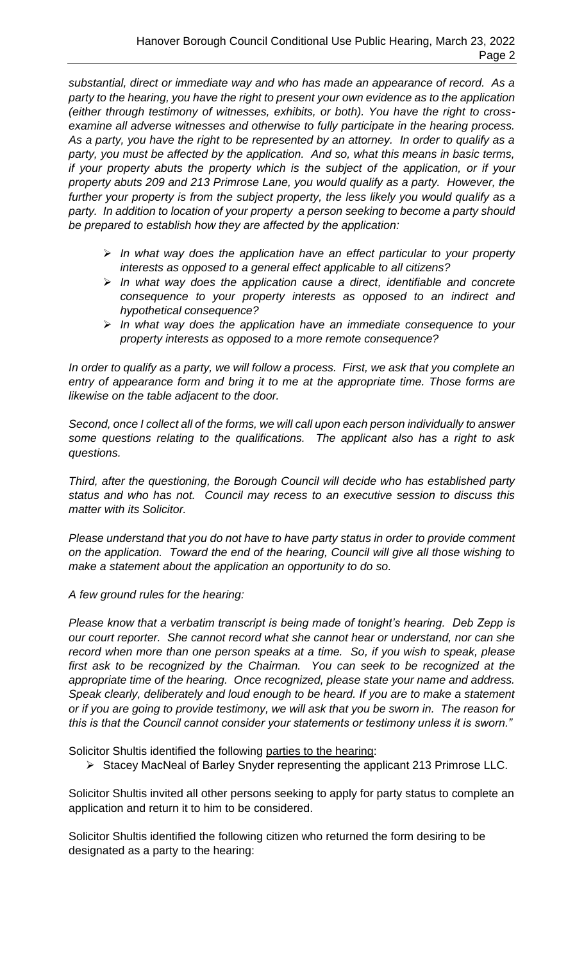*substantial, direct or immediate way and who has made an appearance of record. As a party to the hearing, you have the right to present your own evidence as to the application (either through testimony of witnesses, exhibits, or both). You have the right to crossexamine all adverse witnesses and otherwise to fully participate in the hearing process. As a party, you have the right to be represented by an attorney. In order to qualify as a party, you must be affected by the application. And so, what this means in basic terms, if your property abuts the property which is the subject of the application, or if your property abuts 209 and 213 Primrose Lane, you would qualify as a party. However, the*  further your property is from the subject property, the less likely you would qualify as a *party. In addition to location of your property a person seeking to become a party should be prepared to establish how they are affected by the application:*

- ➢ *In what way does the application have an effect particular to your property interests as opposed to a general effect applicable to all citizens?*
- ➢ *In what way does the application cause a direct, identifiable and concrete consequence to your property interests as opposed to an indirect and hypothetical consequence?*
- ➢ *In what way does the application have an immediate consequence to your property interests as opposed to a more remote consequence?*

*In order to qualify as a party, we will follow a process. First, we ask that you complete an entry of appearance form and bring it to me at the appropriate time. Those forms are likewise on the table adjacent to the door.*

*Second, once I collect all of the forms, we will call upon each person individually to answer some questions relating to the qualifications. The applicant also has a right to ask questions.*

*Third, after the questioning, the Borough Council will decide who has established party status and who has not. Council may recess to an executive session to discuss this matter with its Solicitor.*

*Please understand that you do not have to have party status in order to provide comment on the application. Toward the end of the hearing, Council will give all those wishing to make a statement about the application an opportunity to do so.*

## *A few ground rules for the hearing:*

*Please know that a verbatim transcript is being made of tonight's hearing. Deb Zepp is our court reporter. She cannot record what she cannot hear or understand, nor can she record when more than one person speaks at a time. So, if you wish to speak, please first ask to be recognized by the Chairman. You can seek to be recognized at the appropriate time of the hearing. Once recognized, please state your name and address. Speak clearly, deliberately and loud enough to be heard. If you are to make a statement or if you are going to provide testimony, we will ask that you be sworn in. The reason for this is that the Council cannot consider your statements or testimony unless it is sworn."*

Solicitor Shultis identified the following parties to the hearing:

➢ Stacey MacNeal of Barley Snyder representing the applicant 213 Primrose LLC.

Solicitor Shultis invited all other persons seeking to apply for party status to complete an application and return it to him to be considered.

Solicitor Shultis identified the following citizen who returned the form desiring to be designated as a party to the hearing: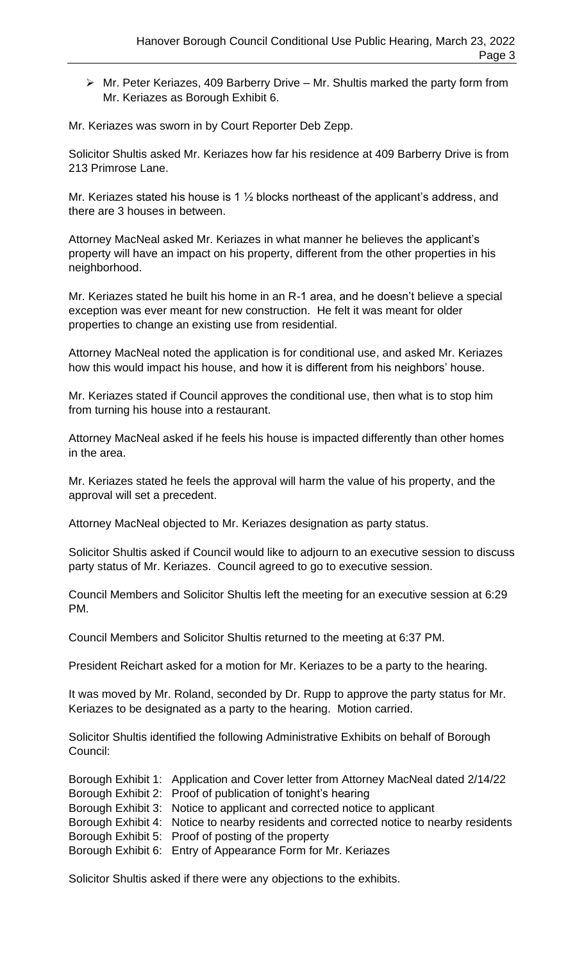➢ Mr. Peter Keriazes, 409 Barberry Drive – Mr. Shultis marked the party form from Mr. Keriazes as Borough Exhibit 6.

Mr. Keriazes was sworn in by Court Reporter Deb Zepp.

Solicitor Shultis asked Mr. Keriazes how far his residence at 409 Barberry Drive is from 213 Primrose Lane.

Mr. Keriazes stated his house is 1 ½ blocks northeast of the applicant's address, and there are 3 houses in between.

Attorney MacNeal asked Mr. Keriazes in what manner he believes the applicant's property will have an impact on his property, different from the other properties in his neighborhood.

Mr. Keriazes stated he built his home in an R-1 area, and he doesn't believe a special exception was ever meant for new construction. He felt it was meant for older properties to change an existing use from residential.

Attorney MacNeal noted the application is for conditional use, and asked Mr. Keriazes how this would impact his house, and how it is different from his neighbors' house.

Mr. Keriazes stated if Council approves the conditional use, then what is to stop him from turning his house into a restaurant.

Attorney MacNeal asked if he feels his house is impacted differently than other homes in the area.

Mr. Keriazes stated he feels the approval will harm the value of his property, and the approval will set a precedent.

Attorney MacNeal objected to Mr. Keriazes designation as party status.

Solicitor Shultis asked if Council would like to adjourn to an executive session to discuss party status of Mr. Keriazes. Council agreed to go to executive session.

Council Members and Solicitor Shultis left the meeting for an executive session at 6:29 PM.

Council Members and Solicitor Shultis returned to the meeting at 6:37 PM.

President Reichart asked for a motion for Mr. Keriazes to be a party to the hearing.

It was moved by Mr. Roland, seconded by Dr. Rupp to approve the party status for Mr. Keriazes to be designated as a party to the hearing. Motion carried.

Solicitor Shultis identified the following Administrative Exhibits on behalf of Borough Council:

| Borough Exhibit 1: Application and Cover letter from Attorney MacNeal dated 2/14/22    |
|----------------------------------------------------------------------------------------|
| Borough Exhibit 2: Proof of publication of tonight's hearing                           |
| Borough Exhibit 3: Notice to applicant and corrected notice to applicant               |
| Borough Exhibit 4: Notice to nearby residents and corrected notice to nearby residents |
| Borough Exhibit 5: Proof of posting of the property                                    |
| Borough Exhibit 6: Entry of Appearance Form for Mr. Keriazes                           |

Solicitor Shultis asked if there were any objections to the exhibits.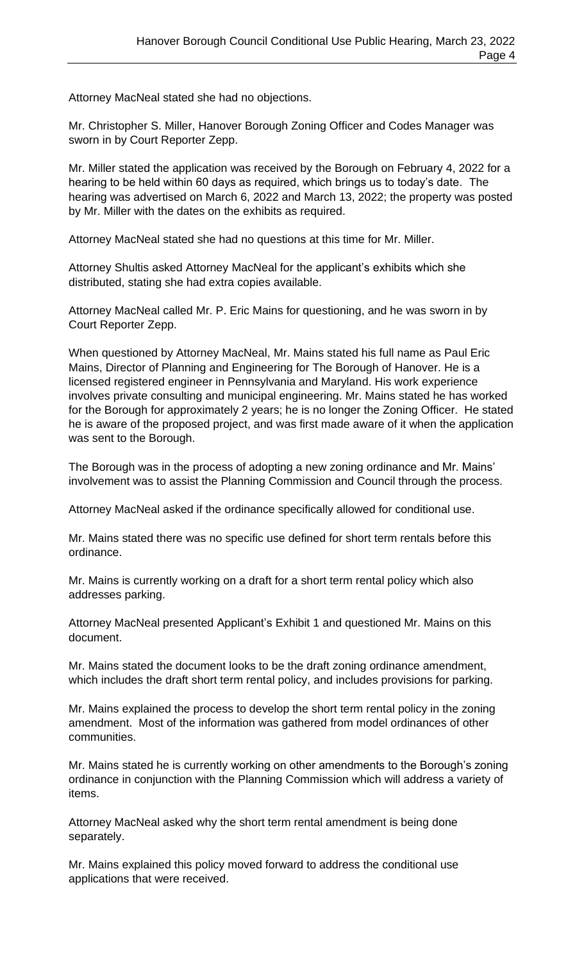Attorney MacNeal stated she had no objections.

Mr. Christopher S. Miller, Hanover Borough Zoning Officer and Codes Manager was sworn in by Court Reporter Zepp.

Mr. Miller stated the application was received by the Borough on February 4, 2022 for a hearing to be held within 60 days as required, which brings us to today's date. The hearing was advertised on March 6, 2022 and March 13, 2022; the property was posted by Mr. Miller with the dates on the exhibits as required.

Attorney MacNeal stated she had no questions at this time for Mr. Miller.

Attorney Shultis asked Attorney MacNeal for the applicant's exhibits which she distributed, stating she had extra copies available.

Attorney MacNeal called Mr. P. Eric Mains for questioning, and he was sworn in by Court Reporter Zepp.

When questioned by Attorney MacNeal, Mr. Mains stated his full name as Paul Eric Mains, Director of Planning and Engineering for The Borough of Hanover. He is a licensed registered engineer in Pennsylvania and Maryland. His work experience involves private consulting and municipal engineering. Mr. Mains stated he has worked for the Borough for approximately 2 years; he is no longer the Zoning Officer. He stated he is aware of the proposed project, and was first made aware of it when the application was sent to the Borough.

The Borough was in the process of adopting a new zoning ordinance and Mr. Mains' involvement was to assist the Planning Commission and Council through the process.

Attorney MacNeal asked if the ordinance specifically allowed for conditional use.

Mr. Mains stated there was no specific use defined for short term rentals before this ordinance.

Mr. Mains is currently working on a draft for a short term rental policy which also addresses parking.

Attorney MacNeal presented Applicant's Exhibit 1 and questioned Mr. Mains on this document.

Mr. Mains stated the document looks to be the draft zoning ordinance amendment, which includes the draft short term rental policy, and includes provisions for parking.

Mr. Mains explained the process to develop the short term rental policy in the zoning amendment. Most of the information was gathered from model ordinances of other communities.

Mr. Mains stated he is currently working on other amendments to the Borough's zoning ordinance in conjunction with the Planning Commission which will address a variety of items.

Attorney MacNeal asked why the short term rental amendment is being done separately.

Mr. Mains explained this policy moved forward to address the conditional use applications that were received.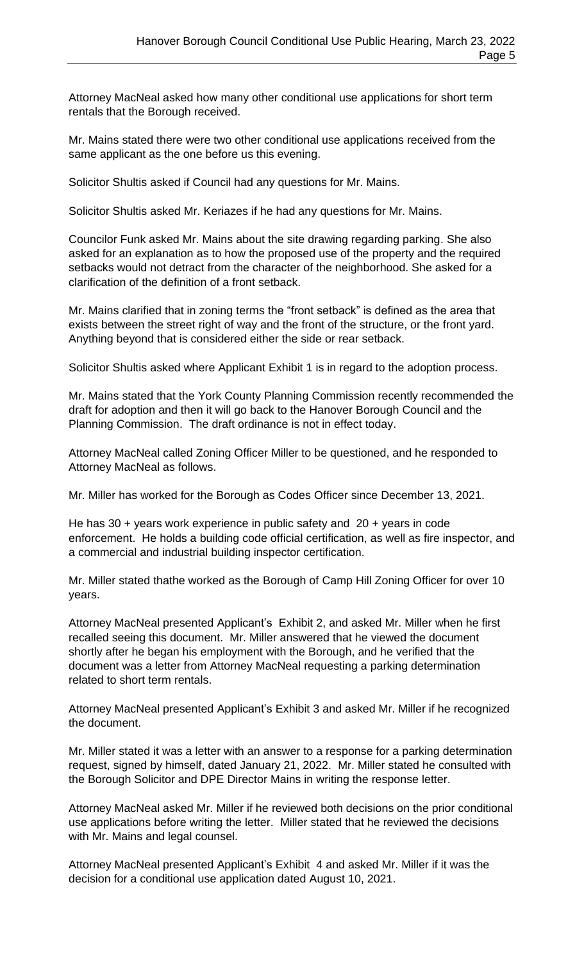Attorney MacNeal asked how many other conditional use applications for short term rentals that the Borough received.

Mr. Mains stated there were two other conditional use applications received from the same applicant as the one before us this evening.

Solicitor Shultis asked if Council had any questions for Mr. Mains.

Solicitor Shultis asked Mr. Keriazes if he had any questions for Mr. Mains.

Councilor Funk asked Mr. Mains about the site drawing regarding parking. She also asked for an explanation as to how the proposed use of the property and the required setbacks would not detract from the character of the neighborhood. She asked for a clarification of the definition of a front setback.

Mr. Mains clarified that in zoning terms the "front setback" is defined as the area that exists between the street right of way and the front of the structure, or the front yard. Anything beyond that is considered either the side or rear setback.

Solicitor Shultis asked where Applicant Exhibit 1 is in regard to the adoption process.

Mr. Mains stated that the York County Planning Commission recently recommended the draft for adoption and then it will go back to the Hanover Borough Council and the Planning Commission. The draft ordinance is not in effect today.

Attorney MacNeal called Zoning Officer Miller to be questioned, and he responded to Attorney MacNeal as follows.

Mr. Miller has worked for the Borough as Codes Officer since December 13, 2021.

He has 30 + years work experience in public safety and 20 + years in code enforcement. He holds a building code official certification, as well as fire inspector, and a commercial and industrial building inspector certification.

Mr. Miller stated thathe worked as the Borough of Camp Hill Zoning Officer for over 10 years.

Attorney MacNeal presented Applicant's Exhibit 2, and asked Mr. Miller when he first recalled seeing this document. Mr. Miller answered that he viewed the document shortly after he began his employment with the Borough, and he verified that the document was a letter from Attorney MacNeal requesting a parking determination related to short term rentals.

Attorney MacNeal presented Applicant's Exhibit 3 and asked Mr. Miller if he recognized the document.

Mr. Miller stated it was a letter with an answer to a response for a parking determination request, signed by himself, dated January 21, 2022. Mr. Miller stated he consulted with the Borough Solicitor and DPE Director Mains in writing the response letter.

Attorney MacNeal asked Mr. Miller if he reviewed both decisions on the prior conditional use applications before writing the letter. Miller stated that he reviewed the decisions with Mr. Mains and legal counsel.

Attorney MacNeal presented Applicant's Exhibit 4 and asked Mr. Miller if it was the decision for a conditional use application dated August 10, 2021.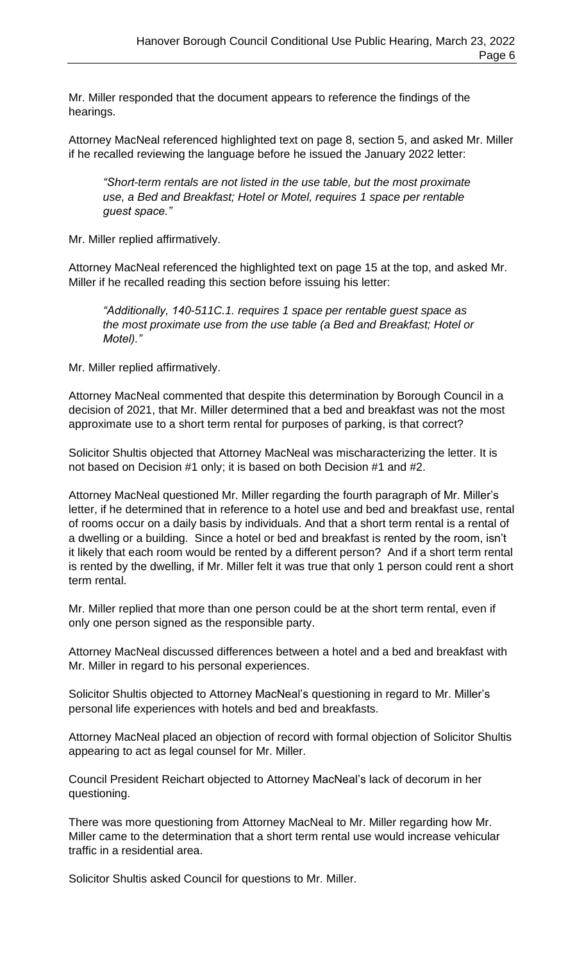Mr. Miller responded that the document appears to reference the findings of the hearings.

Attorney MacNeal referenced highlighted text on page 8, section 5, and asked Mr. Miller if he recalled reviewing the language before he issued the January 2022 letter:

*"Short-term rentals are not listed in the use table, but the most proximate use, a Bed and Breakfast; Hotel or Motel, requires 1 space per rentable guest space."*

Mr. Miller replied affirmatively.

Attorney MacNeal referenced the highlighted text on page 15 at the top, and asked Mr. Miller if he recalled reading this section before issuing his letter:

*"Additionally, 140-511C.1. requires 1 space per rentable guest space as the most proximate use from the use table (a Bed and Breakfast; Hotel or Motel)."*

Mr. Miller replied affirmatively.

Attorney MacNeal commented that despite this determination by Borough Council in a decision of 2021, that Mr. Miller determined that a bed and breakfast was not the most approximate use to a short term rental for purposes of parking, is that correct?

Solicitor Shultis objected that Attorney MacNeal was mischaracterizing the letter. It is not based on Decision #1 only; it is based on both Decision #1 and #2.

Attorney MacNeal questioned Mr. Miller regarding the fourth paragraph of Mr. Miller's letter, if he determined that in reference to a hotel use and bed and breakfast use, rental of rooms occur on a daily basis by individuals. And that a short term rental is a rental of a dwelling or a building. Since a hotel or bed and breakfast is rented by the room, isn't it likely that each room would be rented by a different person? And if a short term rental is rented by the dwelling, if Mr. Miller felt it was true that only 1 person could rent a short term rental.

Mr. Miller replied that more than one person could be at the short term rental, even if only one person signed as the responsible party.

Attorney MacNeal discussed differences between a hotel and a bed and breakfast with Mr. Miller in regard to his personal experiences.

Solicitor Shultis objected to Attorney MacNeal's questioning in regard to Mr. Miller's personal life experiences with hotels and bed and breakfasts.

Attorney MacNeal placed an objection of record with formal objection of Solicitor Shultis appearing to act as legal counsel for Mr. Miller.

Council President Reichart objected to Attorney MacNeal's lack of decorum in her questioning.

There was more questioning from Attorney MacNeal to Mr. Miller regarding how Mr. Miller came to the determination that a short term rental use would increase vehicular traffic in a residential area.

Solicitor Shultis asked Council for questions to Mr. Miller.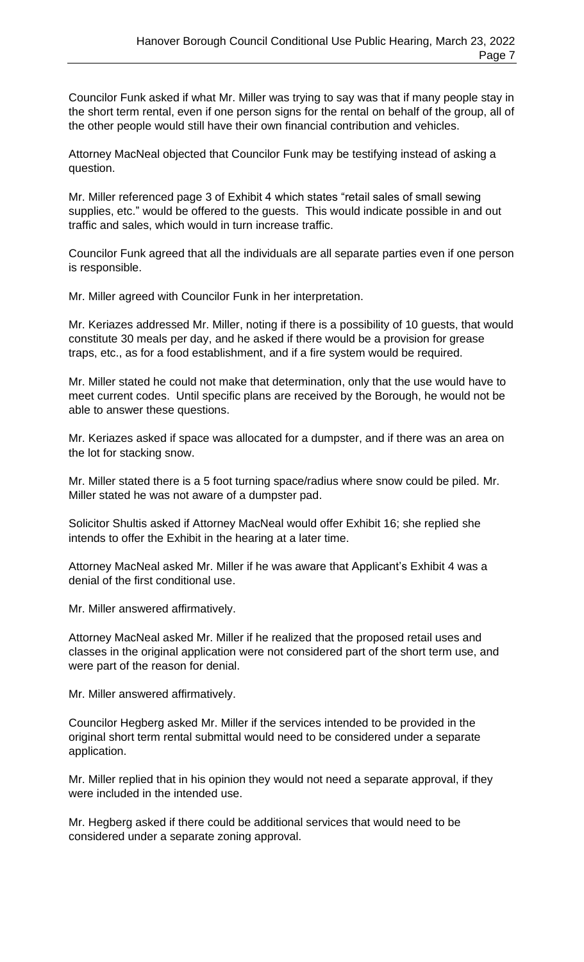Councilor Funk asked if what Mr. Miller was trying to say was that if many people stay in the short term rental, even if one person signs for the rental on behalf of the group, all of the other people would still have their own financial contribution and vehicles.

Attorney MacNeal objected that Councilor Funk may be testifying instead of asking a question.

Mr. Miller referenced page 3 of Exhibit 4 which states "retail sales of small sewing supplies, etc." would be offered to the guests. This would indicate possible in and out traffic and sales, which would in turn increase traffic.

Councilor Funk agreed that all the individuals are all separate parties even if one person is responsible.

Mr. Miller agreed with Councilor Funk in her interpretation.

Mr. Keriazes addressed Mr. Miller, noting if there is a possibility of 10 guests, that would constitute 30 meals per day, and he asked if there would be a provision for grease traps, etc., as for a food establishment, and if a fire system would be required.

Mr. Miller stated he could not make that determination, only that the use would have to meet current codes. Until specific plans are received by the Borough, he would not be able to answer these questions.

Mr. Keriazes asked if space was allocated for a dumpster, and if there was an area on the lot for stacking snow.

Mr. Miller stated there is a 5 foot turning space/radius where snow could be piled. Mr. Miller stated he was not aware of a dumpster pad.

Solicitor Shultis asked if Attorney MacNeal would offer Exhibit 16; she replied she intends to offer the Exhibit in the hearing at a later time.

Attorney MacNeal asked Mr. Miller if he was aware that Applicant's Exhibit 4 was a denial of the first conditional use.

Mr. Miller answered affirmatively.

Attorney MacNeal asked Mr. Miller if he realized that the proposed retail uses and classes in the original application were not considered part of the short term use, and were part of the reason for denial.

Mr. Miller answered affirmatively.

Councilor Hegberg asked Mr. Miller if the services intended to be provided in the original short term rental submittal would need to be considered under a separate application.

Mr. Miller replied that in his opinion they would not need a separate approval, if they were included in the intended use.

Mr. Hegberg asked if there could be additional services that would need to be considered under a separate zoning approval.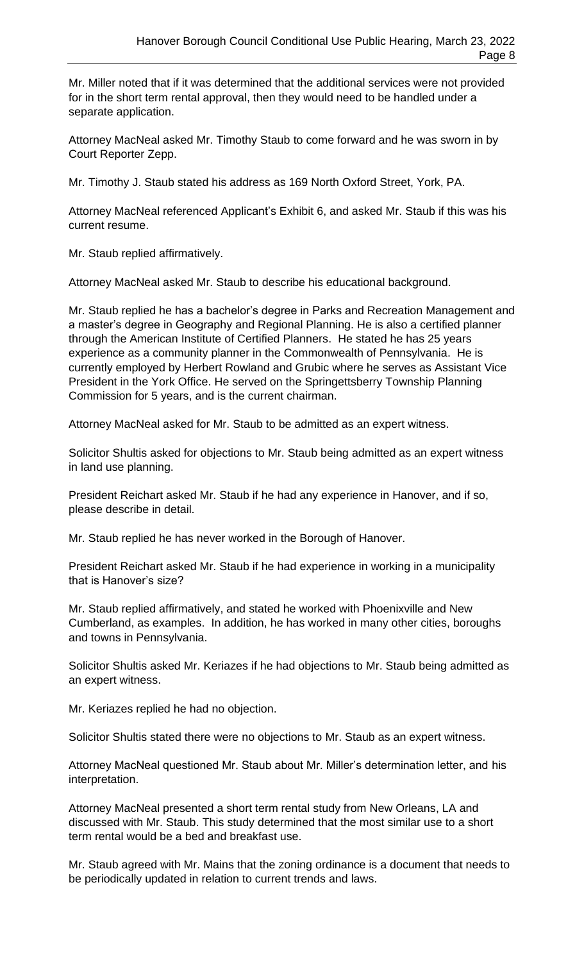Mr. Miller noted that if it was determined that the additional services were not provided for in the short term rental approval, then they would need to be handled under a separate application.

Attorney MacNeal asked Mr. Timothy Staub to come forward and he was sworn in by Court Reporter Zepp.

Mr. Timothy J. Staub stated his address as 169 North Oxford Street, York, PA.

Attorney MacNeal referenced Applicant's Exhibit 6, and asked Mr. Staub if this was his current resume.

Mr. Staub replied affirmatively.

Attorney MacNeal asked Mr. Staub to describe his educational background.

Mr. Staub replied he has a bachelor's degree in Parks and Recreation Management and a master's degree in Geography and Regional Planning. He is also a certified planner through the American Institute of Certified Planners. He stated he has 25 years experience as a community planner in the Commonwealth of Pennsylvania. He is currently employed by Herbert Rowland and Grubic where he serves as Assistant Vice President in the York Office. He served on the Springettsberry Township Planning Commission for 5 years, and is the current chairman.

Attorney MacNeal asked for Mr. Staub to be admitted as an expert witness.

Solicitor Shultis asked for objections to Mr. Staub being admitted as an expert witness in land use planning.

President Reichart asked Mr. Staub if he had any experience in Hanover, and if so, please describe in detail.

Mr. Staub replied he has never worked in the Borough of Hanover.

President Reichart asked Mr. Staub if he had experience in working in a municipality that is Hanover's size?

Mr. Staub replied affirmatively, and stated he worked with Phoenixville and New Cumberland, as examples. In addition, he has worked in many other cities, boroughs and towns in Pennsylvania.

Solicitor Shultis asked Mr. Keriazes if he had objections to Mr. Staub being admitted as an expert witness.

Mr. Keriazes replied he had no objection.

Solicitor Shultis stated there were no objections to Mr. Staub as an expert witness.

Attorney MacNeal questioned Mr. Staub about Mr. Miller's determination letter, and his interpretation.

Attorney MacNeal presented a short term rental study from New Orleans, LA and discussed with Mr. Staub. This study determined that the most similar use to a short term rental would be a bed and breakfast use.

Mr. Staub agreed with Mr. Mains that the zoning ordinance is a document that needs to be periodically updated in relation to current trends and laws.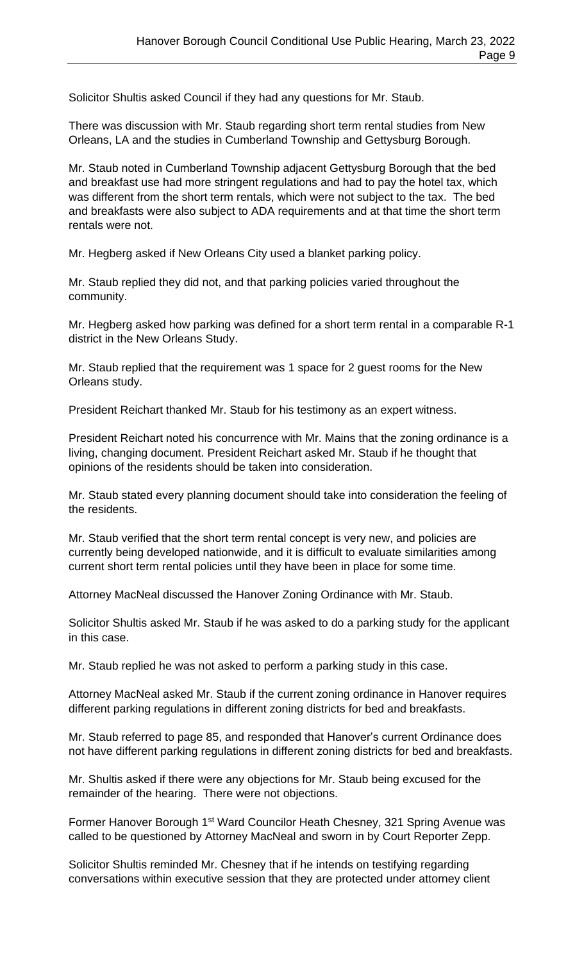Solicitor Shultis asked Council if they had any questions for Mr. Staub.

There was discussion with Mr. Staub regarding short term rental studies from New Orleans, LA and the studies in Cumberland Township and Gettysburg Borough.

Mr. Staub noted in Cumberland Township adjacent Gettysburg Borough that the bed and breakfast use had more stringent regulations and had to pay the hotel tax, which was different from the short term rentals, which were not subject to the tax. The bed and breakfasts were also subject to ADA requirements and at that time the short term rentals were not.

Mr. Hegberg asked if New Orleans City used a blanket parking policy.

Mr. Staub replied they did not, and that parking policies varied throughout the community.

Mr. Hegberg asked how parking was defined for a short term rental in a comparable R-1 district in the New Orleans Study.

Mr. Staub replied that the requirement was 1 space for 2 guest rooms for the New Orleans study.

President Reichart thanked Mr. Staub for his testimony as an expert witness.

President Reichart noted his concurrence with Mr. Mains that the zoning ordinance is a living, changing document. President Reichart asked Mr. Staub if he thought that opinions of the residents should be taken into consideration.

Mr. Staub stated every planning document should take into consideration the feeling of the residents.

Mr. Staub verified that the short term rental concept is very new, and policies are currently being developed nationwide, and it is difficult to evaluate similarities among current short term rental policies until they have been in place for some time.

Attorney MacNeal discussed the Hanover Zoning Ordinance with Mr. Staub.

Solicitor Shultis asked Mr. Staub if he was asked to do a parking study for the applicant in this case.

Mr. Staub replied he was not asked to perform a parking study in this case.

Attorney MacNeal asked Mr. Staub if the current zoning ordinance in Hanover requires different parking regulations in different zoning districts for bed and breakfasts.

Mr. Staub referred to page 85, and responded that Hanover's current Ordinance does not have different parking regulations in different zoning districts for bed and breakfasts.

Mr. Shultis asked if there were any objections for Mr. Staub being excused for the remainder of the hearing. There were not objections.

Former Hanover Borough 1<sup>st</sup> Ward Councilor Heath Chesney, 321 Spring Avenue was called to be questioned by Attorney MacNeal and sworn in by Court Reporter Zepp.

Solicitor Shultis reminded Mr. Chesney that if he intends on testifying regarding conversations within executive session that they are protected under attorney client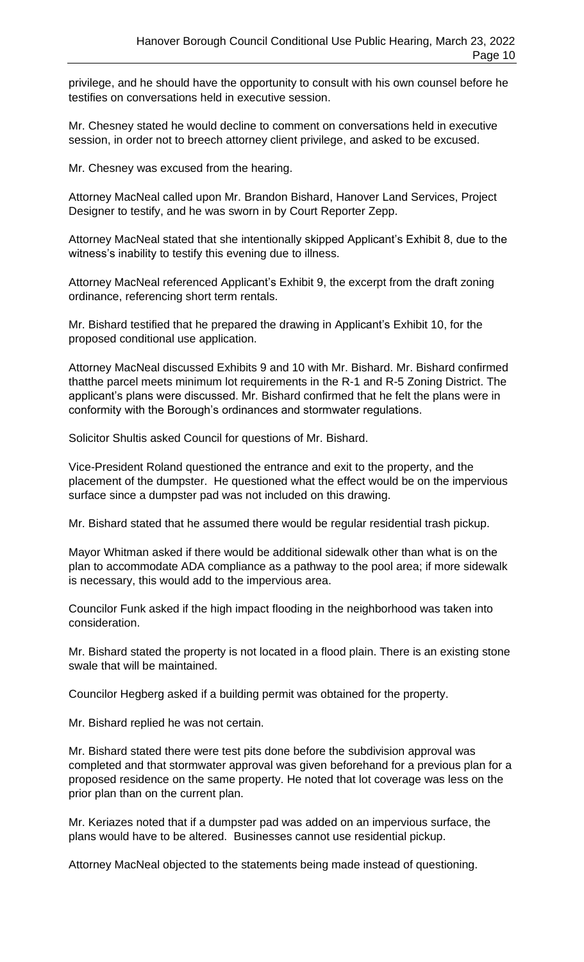privilege, and he should have the opportunity to consult with his own counsel before he testifies on conversations held in executive session.

Mr. Chesney stated he would decline to comment on conversations held in executive session, in order not to breech attorney client privilege, and asked to be excused.

Mr. Chesney was excused from the hearing.

Attorney MacNeal called upon Mr. Brandon Bishard, Hanover Land Services, Project Designer to testify, and he was sworn in by Court Reporter Zepp.

Attorney MacNeal stated that she intentionally skipped Applicant's Exhibit 8, due to the witness's inability to testify this evening due to illness.

Attorney MacNeal referenced Applicant's Exhibit 9, the excerpt from the draft zoning ordinance, referencing short term rentals.

Mr. Bishard testified that he prepared the drawing in Applicant's Exhibit 10, for the proposed conditional use application.

Attorney MacNeal discussed Exhibits 9 and 10 with Mr. Bishard. Mr. Bishard confirmed thatthe parcel meets minimum lot requirements in the R-1 and R-5 Zoning District. The applicant's plans were discussed. Mr. Bishard confirmed that he felt the plans were in conformity with the Borough's ordinances and stormwater regulations.

Solicitor Shultis asked Council for questions of Mr. Bishard.

Vice-President Roland questioned the entrance and exit to the property, and the placement of the dumpster. He questioned what the effect would be on the impervious surface since a dumpster pad was not included on this drawing.

Mr. Bishard stated that he assumed there would be regular residential trash pickup.

Mayor Whitman asked if there would be additional sidewalk other than what is on the plan to accommodate ADA compliance as a pathway to the pool area; if more sidewalk is necessary, this would add to the impervious area.

Councilor Funk asked if the high impact flooding in the neighborhood was taken into consideration.

Mr. Bishard stated the property is not located in a flood plain. There is an existing stone swale that will be maintained.

Councilor Hegberg asked if a building permit was obtained for the property.

Mr. Bishard replied he was not certain.

Mr. Bishard stated there were test pits done before the subdivision approval was completed and that stormwater approval was given beforehand for a previous plan for a proposed residence on the same property. He noted that lot coverage was less on the prior plan than on the current plan.

Mr. Keriazes noted that if a dumpster pad was added on an impervious surface, the plans would have to be altered. Businesses cannot use residential pickup.

Attorney MacNeal objected to the statements being made instead of questioning.